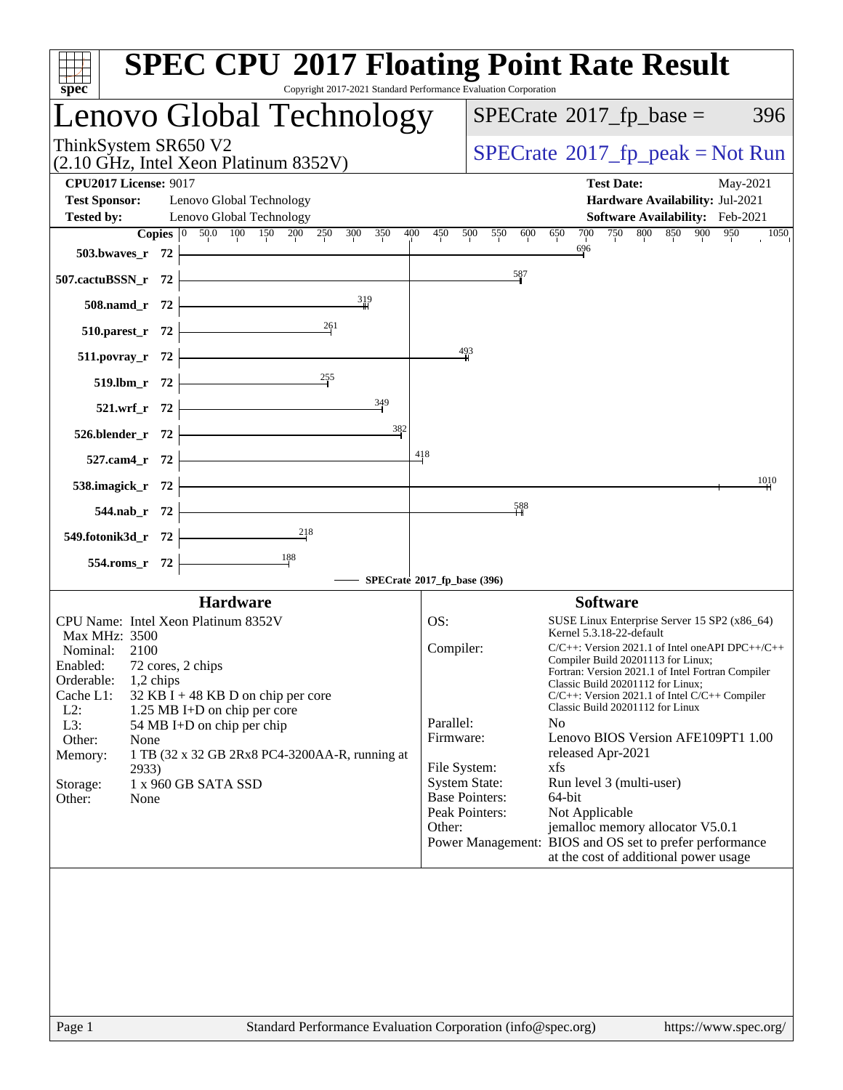| $spec^*$                                                                                                                                             | <b>SPEC CPU®2017 Floating Point Rate Result</b><br>Copyright 2017-2021 Standard Performance Evaluation Corporation |
|------------------------------------------------------------------------------------------------------------------------------------------------------|--------------------------------------------------------------------------------------------------------------------|
| Lenovo Global Technology                                                                                                                             | $SPECrate^{\circ}2017$ _fp_base =<br>396                                                                           |
| ThinkSystem SR650 V2<br>(2.10 GHz, Intel Xeon Platinum 8352V)                                                                                        | $SPECrate^{\circ}2017$ [p_peak = Not Run                                                                           |
| <b>CPU2017 License: 9017</b><br><b>Test Sponsor:</b><br>Lenovo Global Technology                                                                     | <b>Test Date:</b><br>May-2021<br>Hardware Availability: Jul-2021                                                   |
| Lenovo Global Technology<br><b>Tested by:</b><br><b>Copies</b> $\begin{bmatrix} 0 & 50.0 & 100 & 150 & 200 & 250 \end{bmatrix}$<br>400<br>300<br>350 | Software Availability: Feb-2021<br>800 850 900<br>700<br>750<br>950<br>450<br>500<br>550<br>600<br>650             |
| 503.bwaves_r $72$ $-$                                                                                                                                | 1050<br>696                                                                                                        |
| 507.cactuBSSN_r 72                                                                                                                                   | $\frac{587}{5}$                                                                                                    |
| $\frac{319}{1}$<br>$508$ .namd_r 72 $\vdash$                                                                                                         |                                                                                                                    |
| 510.parest_r 72 $\overline{\qquad}$ 261                                                                                                              |                                                                                                                    |
| $511.povray_r 72$                                                                                                                                    | $\frac{493}{4}$                                                                                                    |
| 519.lbm_r 72 $\overline{\qquad \qquad }$ 255                                                                                                         |                                                                                                                    |
| 521.wrf_r 72 $\frac{349}{ }$                                                                                                                         |                                                                                                                    |
| 382<br>$526.blender_r 72$ $\overline{\phantom{2}}$                                                                                                   | 418                                                                                                                |
| $527.cam4_r$ $72$                                                                                                                                    | 1010                                                                                                               |
| 538.imagick_r $72$ $\vdash$                                                                                                                          | $\frac{588}{11}$                                                                                                   |
| $544.nab_r$ 72<br>$\overline{\phantom{a_{1}^{18}}$                                                                                                   |                                                                                                                    |
| 549.fotonik3d_r 72 -<br>554.roms_r 72 $\frac{188}{1}$                                                                                                |                                                                                                                    |
|                                                                                                                                                      | SPECrate®2017_fp_base (396)                                                                                        |
| <b>Hardware</b>                                                                                                                                      | <b>Software</b>                                                                                                    |
| CPU Name: Intel Xeon Platinum 8352V<br>Max MHz: 3500                                                                                                 | OS:<br>SUSE Linux Enterprise Server 15 SP2 (x86_64)<br>Kernel 5.3.18-22-default                                    |
| Nominal:<br>2100                                                                                                                                     | Compiler:<br>$C/C++$ : Version 2021.1 of Intel one API DPC++/C++                                                   |
| Enabled:<br>72 cores, 2 chips                                                                                                                        | Compiler Build 20201113 for Linux;<br>Fortran: Version 2021.1 of Intel Fortran Compiler                            |
| Orderable:<br>$1,2$ chips<br>Cache L1:<br>32 KB I + 48 KB D on chip per core                                                                         | Classic Build 20201112 for Linux;<br>$C/C++$ : Version 2021.1 of Intel $C/C++$ Compiler                            |
| $L2$ :<br>1.25 MB I+D on chip per core<br>L3:<br>54 MB I+D on chip per chip                                                                          | Classic Build 20201112 for Linux<br>Parallel:<br>N <sub>o</sub>                                                    |
| Other:<br>None                                                                                                                                       | Lenovo BIOS Version AFE109PT1 1.00<br>Firmware:<br>released Apr-2021                                               |
| Memory:<br>1 TB (32 x 32 GB 2Rx8 PC4-3200AA-R, running at<br>2933)                                                                                   | File System:<br>xfs                                                                                                |
| 1 x 960 GB SATA SSD<br>Storage:<br>None<br>Other:                                                                                                    | <b>System State:</b><br>Run level 3 (multi-user)<br><b>Base Pointers:</b><br>64-bit                                |
|                                                                                                                                                      | Peak Pointers:<br>Not Applicable                                                                                   |
|                                                                                                                                                      | Other:<br>jemalloc memory allocator V5.0.1                                                                         |
|                                                                                                                                                      | Power Management: BIOS and OS set to prefer performance<br>at the cost of additional power usage                   |
|                                                                                                                                                      |                                                                                                                    |
| Page 1                                                                                                                                               | Standard Performance Evaluation Corporation (info@spec.org)<br>https://www.spec.org/                               |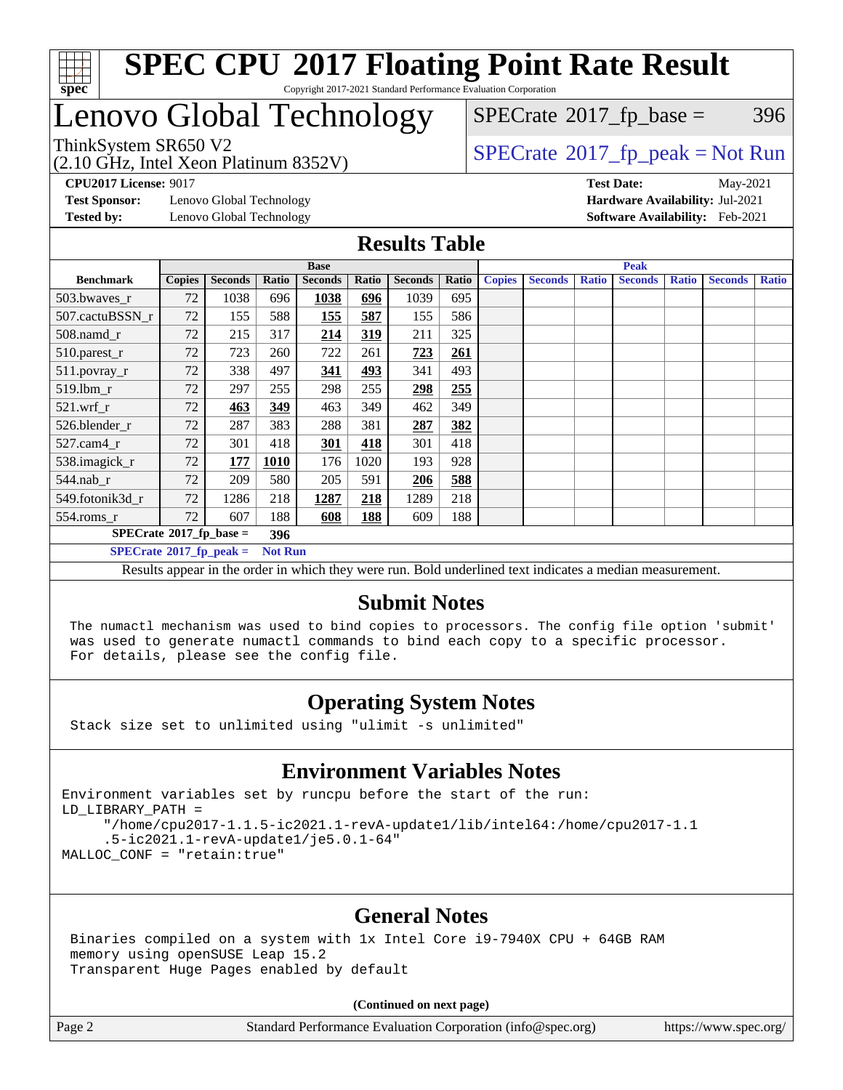

## Lenovo Global Technology

(2.10 GHz, Intel Xeon Platinum 8352V)

 $SPECTate@2017_fp\_base = 396$ 

### ThinkSystem SR650 V2<br>(2.10 GHz, Intel Year Platinum 8352V)

**[Test Sponsor:](http://www.spec.org/auto/cpu2017/Docs/result-fields.html#TestSponsor)** Lenovo Global Technology **[Hardware Availability:](http://www.spec.org/auto/cpu2017/Docs/result-fields.html#HardwareAvailability)** Jul-2021 **[Tested by:](http://www.spec.org/auto/cpu2017/Docs/result-fields.html#Testedby)** Lenovo Global Technology **[Software Availability:](http://www.spec.org/auto/cpu2017/Docs/result-fields.html#SoftwareAvailability)** Feb-2021

**[CPU2017 License:](http://www.spec.org/auto/cpu2017/Docs/result-fields.html#CPU2017License)** 9017 **[Test Date:](http://www.spec.org/auto/cpu2017/Docs/result-fields.html#TestDate)** May-2021

#### **[Results Table](http://www.spec.org/auto/cpu2017/Docs/result-fields.html#ResultsTable)**

|                                   | <b>Base</b>   |                |             |                |       |                | <b>Peak</b> |               |                |              |                |              |                |              |
|-----------------------------------|---------------|----------------|-------------|----------------|-------|----------------|-------------|---------------|----------------|--------------|----------------|--------------|----------------|--------------|
| <b>Benchmark</b>                  | <b>Copies</b> | <b>Seconds</b> | Ratio       | <b>Seconds</b> | Ratio | <b>Seconds</b> | Ratio       | <b>Copies</b> | <b>Seconds</b> | <b>Ratio</b> | <b>Seconds</b> | <b>Ratio</b> | <b>Seconds</b> | <b>Ratio</b> |
| 503.bwayes_r                      | 72            | 1038           | 696         | 1038           | 696   | 1039           | 695         |               |                |              |                |              |                |              |
| 507.cactuBSSN r                   | 72            | 155            | 588         | <b>155</b>     | 587   | 155            | 586         |               |                |              |                |              |                |              |
| $508$ .namd $r$                   | 72            | 215            | 317         | 214            | 319   | 211            | 325         |               |                |              |                |              |                |              |
| 510.parest_r                      | 72            | 723            | 260         | 722            | 261   | 723            | 261         |               |                |              |                |              |                |              |
| 511.povray_r                      | 72            | 338            | 497         | 341            | 493   | 341            | 493         |               |                |              |                |              |                |              |
| 519.lbm r                         | 72            | 297            | 255         | 298            | 255   | 298            | 255         |               |                |              |                |              |                |              |
| $521.wrf_r$                       | 72            | 463            | 349         | 463            | 349   | 462            | 349         |               |                |              |                |              |                |              |
| 526.blender r                     | 72            | 287            | 383         | 288            | 381   | 287            | 382         |               |                |              |                |              |                |              |
| $527$ .cam $4r$                   | 72            | 301            | 418         | <b>301</b>     | 418   | 301            | 418         |               |                |              |                |              |                |              |
| 538.imagick_r                     | 72            | 177            | <b>1010</b> | 176            | 1020  | 193            | 928         |               |                |              |                |              |                |              |
| 544.nab r                         | 72            | 209            | 580         | 205            | 591   | 206            | 588         |               |                |              |                |              |                |              |
| 549.fotonik3d r                   | 72            | 1286           | 218         | 1287           | 218   | 1289           | 218         |               |                |              |                |              |                |              |
| $554$ .roms_r                     | 72            | 607            | 188         | 608            | 188   | 609            | 188         |               |                |              |                |              |                |              |
| $SPECrate^{\circ}2017$ _fp_base = |               |                |             |                |       |                |             |               |                |              |                |              |                |              |
| $SPECrate^{\circ}2017$ fp peak =  |               |                |             | <b>Not Run</b> |       |                |             |               |                |              |                |              |                |              |

Results appear in the [order in which they were run](http://www.spec.org/auto/cpu2017/Docs/result-fields.html#RunOrder). Bold underlined text [indicates a median measurement.](http://www.spec.org/auto/cpu2017/Docs/result-fields.html#Median)

#### **[Submit Notes](http://www.spec.org/auto/cpu2017/Docs/result-fields.html#SubmitNotes)**

 The numactl mechanism was used to bind copies to processors. The config file option 'submit' was used to generate numactl commands to bind each copy to a specific processor. For details, please see the config file.

### **[Operating System Notes](http://www.spec.org/auto/cpu2017/Docs/result-fields.html#OperatingSystemNotes)**

Stack size set to unlimited using "ulimit -s unlimited"

#### **[Environment Variables Notes](http://www.spec.org/auto/cpu2017/Docs/result-fields.html#EnvironmentVariablesNotes)**

Environment variables set by runcpu before the start of the run: LD\_LIBRARY\_PATH = "/home/cpu2017-1.1.5-ic2021.1-revA-update1/lib/intel64:/home/cpu2017-1.1 .5-ic2021.1-revA-update1/je5.0.1-64" MALLOC\_CONF = "retain:true"

#### **[General Notes](http://www.spec.org/auto/cpu2017/Docs/result-fields.html#GeneralNotes)**

 Binaries compiled on a system with 1x Intel Core i9-7940X CPU + 64GB RAM memory using openSUSE Leap 15.2 Transparent Huge Pages enabled by default

#### **(Continued on next page)**

Page 2 Standard Performance Evaluation Corporation [\(info@spec.org\)](mailto:info@spec.org) <https://www.spec.org/>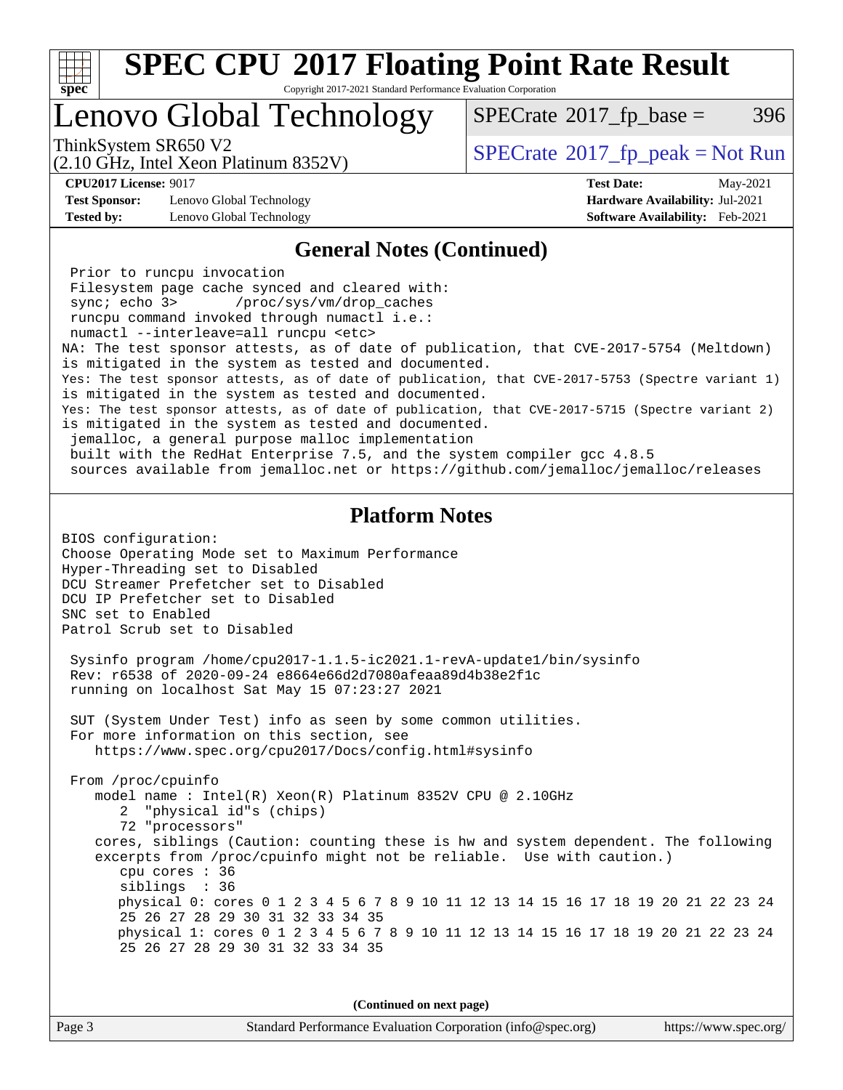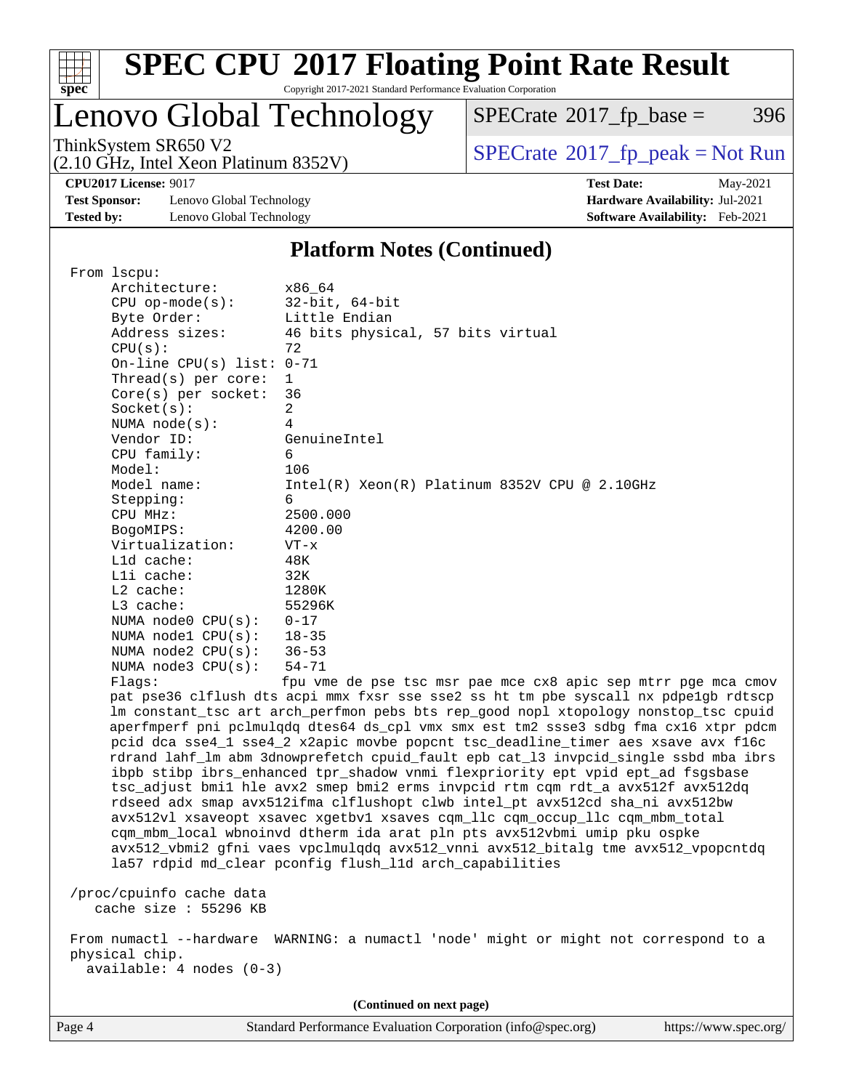

# **[SPEC CPU](http://www.spec.org/auto/cpu2017/Docs/result-fields.html#SPECCPU2017FloatingPointRateResult)[2017 Floating Point Rate Result](http://www.spec.org/auto/cpu2017/Docs/result-fields.html#SPECCPU2017FloatingPointRateResult)**

Copyright 2017-2021 Standard Performance Evaluation Corporation

### Lenovo Global Technology

 $SPECTate@2017_fp\_base = 396$ 

(2.10 GHz, Intel Xeon Platinum 8352V)

ThinkSystem SR650 V2<br>
(2.10 GHz, Intel Xeon Platinum 8352V) [SPECrate](http://www.spec.org/auto/cpu2017/Docs/result-fields.html#SPECrate2017fppeak)®[2017\\_fp\\_peak = N](http://www.spec.org/auto/cpu2017/Docs/result-fields.html#SPECrate2017fppeak)ot Run

**[Test Sponsor:](http://www.spec.org/auto/cpu2017/Docs/result-fields.html#TestSponsor)** Lenovo Global Technology **[Hardware Availability:](http://www.spec.org/auto/cpu2017/Docs/result-fields.html#HardwareAvailability)** Jul-2021 **[Tested by:](http://www.spec.org/auto/cpu2017/Docs/result-fields.html#Testedby)** Lenovo Global Technology **[Software Availability:](http://www.spec.org/auto/cpu2017/Docs/result-fields.html#SoftwareAvailability)** Feb-2021

**[CPU2017 License:](http://www.spec.org/auto/cpu2017/Docs/result-fields.html#CPU2017License)** 9017 **[Test Date:](http://www.spec.org/auto/cpu2017/Docs/result-fields.html#TestDate)** May-2021

#### **[Platform Notes \(Continued\)](http://www.spec.org/auto/cpu2017/Docs/result-fields.html#PlatformNotes)**

| From lscpu:                 |                                                                                      |
|-----------------------------|--------------------------------------------------------------------------------------|
| Architecture:               | x86 64                                                                               |
| $CPU$ op-mode( $s$ ):       | $32$ -bit, $64$ -bit                                                                 |
| Byte Order:                 | Little Endian                                                                        |
| Address sizes:              | 46 bits physical, 57 bits virtual                                                    |
| CPU(s):                     | 72                                                                                   |
| On-line CPU(s) list: $0-71$ |                                                                                      |
| Thread(s) per core:         | $\mathbf{1}$                                                                         |
| $Core(s)$ per socket:       | 36                                                                                   |
| Socket(s):                  | $\overline{a}$                                                                       |
| NUMA $node(s):$             | $\overline{4}$                                                                       |
| Vendor ID:                  | GenuineIntel                                                                         |
| CPU family:                 | 6                                                                                    |
| Model:                      | 106                                                                                  |
| Model name:                 | Intel(R) Xeon(R) Platinum 8352V CPU @ 2.10GHz                                        |
| Stepping:                   | 6                                                                                    |
| CPU MHz:                    | 2500.000                                                                             |
| BogoMIPS:                   | 4200.00                                                                              |
| Virtualization:             | $VT - x$                                                                             |
| L1d cache:                  | 48K                                                                                  |
| Lli cache:                  | 32K                                                                                  |
| L2 cache:                   | 1280K                                                                                |
| L3 cache:                   | 55296K                                                                               |
| NUMA $node0$ $CPU(s):$      | $0 - 17$                                                                             |
| NUMA nodel $CPU(s):$        | $18 - 35$                                                                            |
| NUMA $node2$ $CPU(s):$      | $36 - 53$                                                                            |
| NUMA node3 CPU(s):          | $54 - 71$                                                                            |
| Flaqs:                      | fpu vme de pse tsc msr pae mce cx8 apic sep mtrr pge mca cmov                        |
|                             | pat pse36 clflush dts acpi mmx fxsr sse sse2 ss ht tm pbe syscall nx pdpelgb rdtscp  |
|                             | lm constant_tsc art arch_perfmon pebs bts rep_good nopl xtopology nonstop_tsc cpuid  |
|                             | aperfmperf pni pclmulqdq dtes64 ds_cpl vmx smx est tm2 ssse3 sdbg fma cx16 xtpr pdcm |
|                             | pcid dca sse4_1 sse4_2 x2apic movbe popcnt tsc_deadline_timer aes xsave avx f16c     |
|                             | rdrand lahf_lm abm 3dnowprefetch cpuid_fault epb cat_13 invpcid_single ssbd mba ibrs |
|                             | ibpb stibp ibrs_enhanced tpr_shadow vnmi flexpriority ept vpid ept_ad fsgsbase       |
|                             | tsc_adjust bmil hle avx2 smep bmi2 erms invpcid rtm cqm rdt_a avx512f avx512dq       |
|                             | rdseed adx smap avx512ifma clflushopt clwb intel_pt avx512cd sha_ni avx512bw         |
|                             | avx512vl xsaveopt xsavec xgetbvl xsaves cqm_llc cqm_occup_llc cqm_mbm_total          |
|                             | cqm_mbm_local wbnoinvd dtherm ida arat pln pts avx512vbmi umip pku ospke             |
|                             | avx512_vbmi2 gfni vaes vpclmulqdq avx512_vnni avx512_bitalg tme avx512_vpopcntdq     |
|                             | la57 rdpid md_clear pconfig flush_11d arch_capabilities                              |
|                             |                                                                                      |
| /proc/cpuinfo cache data    |                                                                                      |
| cache size : 55296 KB       |                                                                                      |
|                             | From numactl --hardware WARNING: a numactl 'node' might or might not correspond to a |
| physical chip.              |                                                                                      |
| $available: 4 nodes (0-3)$  |                                                                                      |
|                             |                                                                                      |
|                             |                                                                                      |

**(Continued on next page)**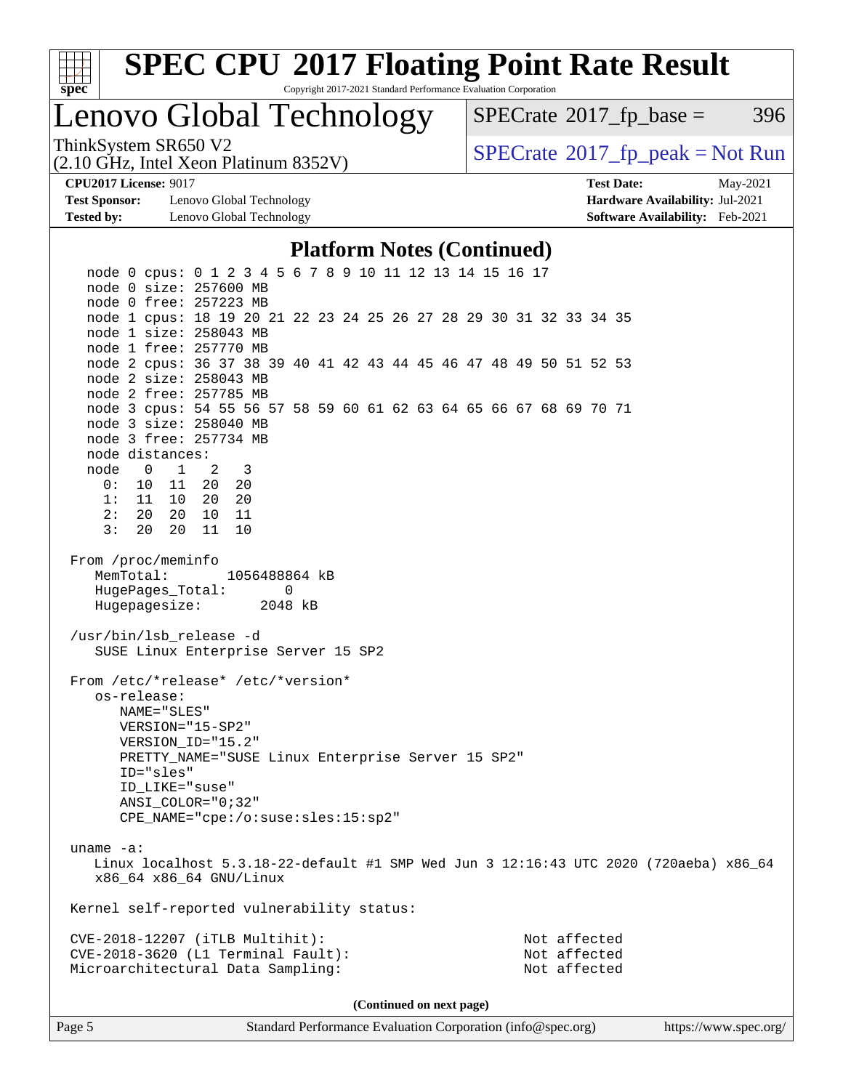

### Lenovo Global Technology

 $SPECTate@2017_fp\_base = 396$ 

(2.10 GHz, Intel Xeon Platinum 8352V)

ThinkSystem SR650 V2<br>(2.10 GHz, Intel Xeon Platinum 8352V)  $\vert$  [SPECrate](http://www.spec.org/auto/cpu2017/Docs/result-fields.html#SPECrate2017fppeak)®[2017\\_fp\\_peak = N](http://www.spec.org/auto/cpu2017/Docs/result-fields.html#SPECrate2017fppeak)ot Run

**[Test Sponsor:](http://www.spec.org/auto/cpu2017/Docs/result-fields.html#TestSponsor)** Lenovo Global Technology **[Hardware Availability:](http://www.spec.org/auto/cpu2017/Docs/result-fields.html#HardwareAvailability)** Jul-2021 **[Tested by:](http://www.spec.org/auto/cpu2017/Docs/result-fields.html#Testedby)** Lenovo Global Technology **[Software Availability:](http://www.spec.org/auto/cpu2017/Docs/result-fields.html#SoftwareAvailability)** Feb-2021

**[CPU2017 License:](http://www.spec.org/auto/cpu2017/Docs/result-fields.html#CPU2017License)** 9017 **[Test Date:](http://www.spec.org/auto/cpu2017/Docs/result-fields.html#TestDate)** May-2021

#### **[Platform Notes \(Continued\)](http://www.spec.org/auto/cpu2017/Docs/result-fields.html#PlatformNotes)**

 node 0 cpus: 0 1 2 3 4 5 6 7 8 9 10 11 12 13 14 15 16 17 node 0 size: 257600 MB node 0 free: 257223 MB node 1 cpus: 18 19 20 21 22 23 24 25 26 27 28 29 30 31 32 33 34 35 node 1 size: 258043 MB node 1 free: 257770 MB node 2 cpus: 36 37 38 39 40 41 42 43 44 45 46 47 48 49 50 51 52 53 node 2 size: 258043 MB node 2 free: 257785 MB node 3 cpus: 54 55 56 57 58 59 60 61 62 63 64 65 66 67 68 69 70 71 node 3 size: 258040 MB node 3 free: 257734 MB node distances: node 0 1 2 3 0: 10 11 20 20 1: 11 10 20 20 2: 20 20 10 11 3: 20 20 11 10 From /proc/meminfo MemTotal: 1056488864 kB HugePages\_Total: 0 Hugepagesize: 2048 kB /usr/bin/lsb\_release -d SUSE Linux Enterprise Server 15 SP2 From /etc/\*release\* /etc/\*version\* os-release: NAME="SLES" VERSION="15-SP2" VERSION\_ID="15.2" PRETTY\_NAME="SUSE Linux Enterprise Server 15 SP2" ID="sles" ID\_LIKE="suse" ANSI\_COLOR="0;32" CPE\_NAME="cpe:/o:suse:sles:15:sp2" uname -a: Linux localhost 5.3.18-22-default #1 SMP Wed Jun 3 12:16:43 UTC 2020 (720aeba) x86\_64 x86\_64 x86\_64 GNU/Linux Kernel self-reported vulnerability status: CVE-2018-12207 (iTLB Multihit): Not affected CVE-2018-3620 (L1 Terminal Fault): Not affected Microarchitectural Data Sampling: Not affected **(Continued on next page)**

Page 5 Standard Performance Evaluation Corporation [\(info@spec.org\)](mailto:info@spec.org) <https://www.spec.org/>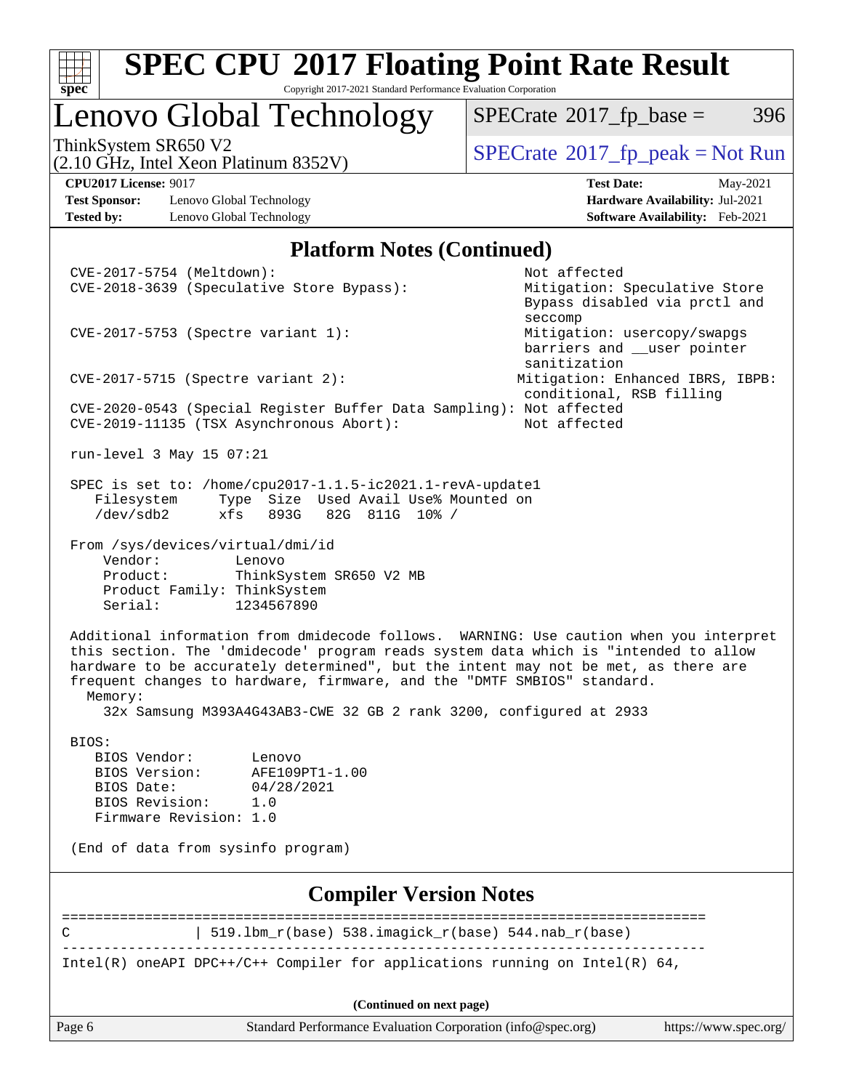

### Lenovo Global Technology

 $SPECTate@2017_fp\_base = 396$ 

(2.10 GHz, Intel Xeon Platinum 8352V)

ThinkSystem SR650 V2<br>  $\begin{array}{c} \text{SPECTB} \\ \text{SPECTB} \\ \text{SPECTB} \end{array}$   $\begin{array}{c} \text{SPECTB} \\ \text{SPECTB} \\ \text{SPECTB} \end{array}$   $\begin{array}{c} \text{SPECTB} \\ \text{SPECTB} \\ \text{SPECTB} \end{array}$ 

**[Test Sponsor:](http://www.spec.org/auto/cpu2017/Docs/result-fields.html#TestSponsor)** Lenovo Global Technology **[Hardware Availability:](http://www.spec.org/auto/cpu2017/Docs/result-fields.html#HardwareAvailability)** Jul-2021 **[Tested by:](http://www.spec.org/auto/cpu2017/Docs/result-fields.html#Testedby)** Lenovo Global Technology **[Software Availability:](http://www.spec.org/auto/cpu2017/Docs/result-fields.html#SoftwareAvailability)** Feb-2021

**[CPU2017 License:](http://www.spec.org/auto/cpu2017/Docs/result-fields.html#CPU2017License)** 9017 **[Test Date:](http://www.spec.org/auto/cpu2017/Docs/result-fields.html#TestDate)** May-2021

#### **[Platform Notes \(Continued\)](http://www.spec.org/auto/cpu2017/Docs/result-fields.html#PlatformNotes)**

Page 6 Standard Performance Evaluation Corporation [\(info@spec.org\)](mailto:info@spec.org) <https://www.spec.org/> CVE-2017-5754 (Meltdown): Not affected CVE-2018-3639 (Speculative Store Bypass): Mitigation: Speculative Store Bypass disabled via prctl and seccompany and the second second seconds of the second seconds of the seconds of the seconds of the seconds of CVE-2017-5753 (Spectre variant 1): Mitigation: usercopy/swapgs barriers and user pointer sanitization CVE-2017-5715 (Spectre variant 2): Mitigation: Enhanced IBRS, IBPB: conditional, RSB filling CVE-2020-0543 (Special Register Buffer Data Sampling): Not affected CVE-2019-11135 (TSX Asynchronous Abort): Not affected run-level 3 May 15 07:21 SPEC is set to: /home/cpu2017-1.1.5-ic2021.1-revA-update1 Filesystem Type Size Used Avail Use% Mounted on<br>
/dev/sdb2 xfs 893G 82G 811G 10% / /dev/sdb2 xfs 893G 82G 811G 10% / From /sys/devices/virtual/dmi/id Vendor: Lenovo Product: ThinkSystem SR650 V2 MB Product Family: ThinkSystem Serial: 1234567890 Additional information from dmidecode follows. WARNING: Use caution when you interpret this section. The 'dmidecode' program reads system data which is "intended to allow hardware to be accurately determined", but the intent may not be met, as there are frequent changes to hardware, firmware, and the "DMTF SMBIOS" standard. Memory: 32x Samsung M393A4G43AB3-CWE 32 GB 2 rank 3200, configured at 2933 BIOS: BIOS Vendor: Lenovo BIOS Version: AFE109PT1-1.00 BIOS Date: 04/28/2021 BIOS Revision: 1.0 Firmware Revision: 1.0 (End of data from sysinfo program) **[Compiler Version Notes](http://www.spec.org/auto/cpu2017/Docs/result-fields.html#CompilerVersionNotes)** ============================================================================== C  $| 519.1bm_r(base) 538.imagick_r(base) 544.nab_r(base)$ ------------------------------------------------------------------------------ Intel(R) oneAPI DPC++/C++ Compiler for applications running on Intel(R) 64, **(Continued on next page)**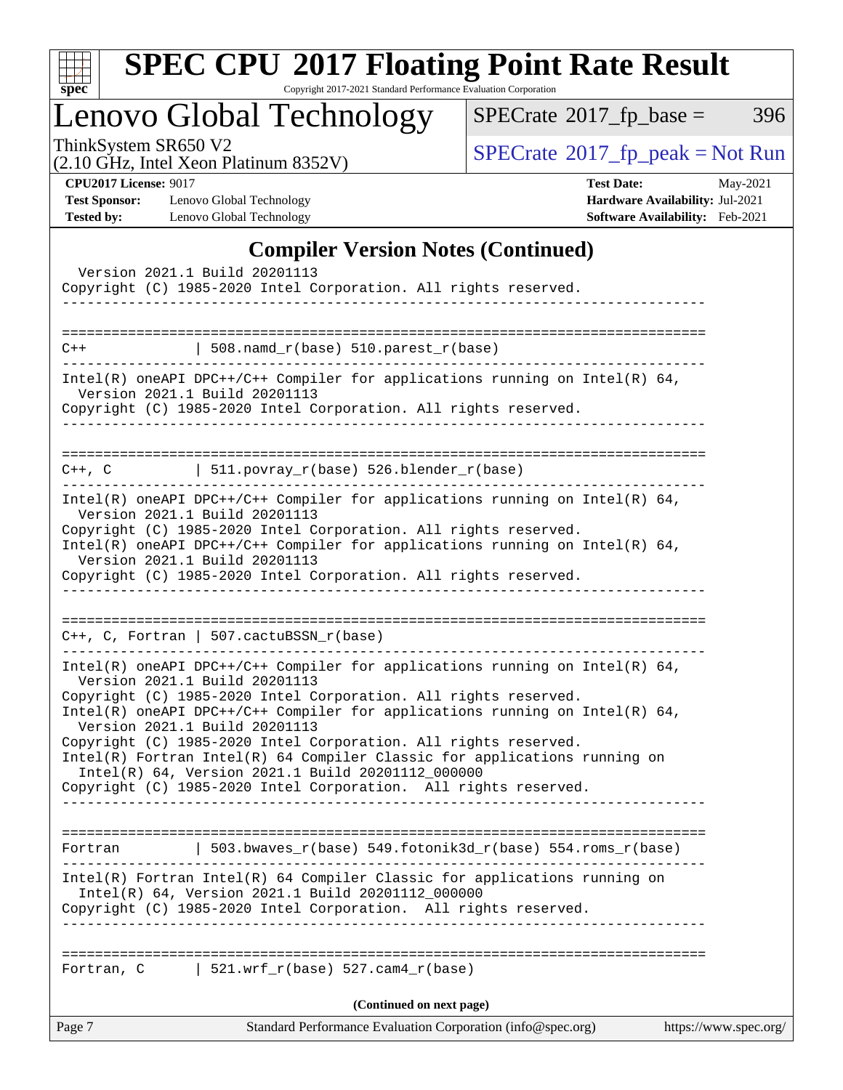

## **[SPEC CPU](http://www.spec.org/auto/cpu2017/Docs/result-fields.html#SPECCPU2017FloatingPointRateResult)[2017 Floating Point Rate Result](http://www.spec.org/auto/cpu2017/Docs/result-fields.html#SPECCPU2017FloatingPointRateResult)**

Copyright 2017-2021 Standard Performance Evaluation Corporation

Lenovo Global Technology

 $SPECTate@2017_fp\_base = 396$ 

(2.10 GHz, Intel Xeon Platinum 8352V)

ThinkSystem SR650 V2<br>
(2.10 GHz, Intel Xeon Platinum 8352V) [SPECrate](http://www.spec.org/auto/cpu2017/Docs/result-fields.html#SPECrate2017fppeak)®[2017\\_fp\\_peak = N](http://www.spec.org/auto/cpu2017/Docs/result-fields.html#SPECrate2017fppeak)ot Run

**[Test Sponsor:](http://www.spec.org/auto/cpu2017/Docs/result-fields.html#TestSponsor)** Lenovo Global Technology **[Hardware Availability:](http://www.spec.org/auto/cpu2017/Docs/result-fields.html#HardwareAvailability)** Jul-2021 **[Tested by:](http://www.spec.org/auto/cpu2017/Docs/result-fields.html#Testedby)** Lenovo Global Technology **[Software Availability:](http://www.spec.org/auto/cpu2017/Docs/result-fields.html#SoftwareAvailability)** Feb-2021

**[CPU2017 License:](http://www.spec.org/auto/cpu2017/Docs/result-fields.html#CPU2017License)** 9017 **[Test Date:](http://www.spec.org/auto/cpu2017/Docs/result-fields.html#TestDate)** May-2021

#### **[Compiler Version Notes \(Continued\)](http://www.spec.org/auto/cpu2017/Docs/result-fields.html#CompilerVersionNotes)**

|            | Version 2021.1 Build 20201113<br>Copyright (C) 1985-2020 Intel Corporation. All rights reserved.<br>_______________                                                                                                                                                                                                                                                                                                                                   |                       |
|------------|-------------------------------------------------------------------------------------------------------------------------------------------------------------------------------------------------------------------------------------------------------------------------------------------------------------------------------------------------------------------------------------------------------------------------------------------------------|-----------------------|
|            |                                                                                                                                                                                                                                                                                                                                                                                                                                                       |                       |
| $C++$      | $\vert$ 508.namd_r(base) 510.parest_r(base)                                                                                                                                                                                                                                                                                                                                                                                                           |                       |
|            | Intel(R) oneAPI DPC++/C++ Compiler for applications running on Intel(R) $64$ ,<br>Version 2021.1 Build 20201113<br>Copyright (C) 1985-2020 Intel Corporation. All rights reserved.                                                                                                                                                                                                                                                                    |                       |
|            | $C++$ , C $\qquad \qquad$   511.povray_r(base) 526.blender_r(base)                                                                                                                                                                                                                                                                                                                                                                                    |                       |
|            | $Intel(R)$ oneAPI DPC++/C++ Compiler for applications running on Intel(R) 64,<br>Version 2021.1 Build 20201113<br>Copyright (C) 1985-2020 Intel Corporation. All rights reserved.<br>Intel(R) oneAPI DPC++/C++ Compiler for applications running on Intel(R) $64$ ,                                                                                                                                                                                   |                       |
|            | Version 2021.1 Build 20201113<br>Copyright (C) 1985-2020 Intel Corporation. All rights reserved.<br>____________________                                                                                                                                                                                                                                                                                                                              |                       |
|            | $C++$ , C, Fortran   507.cactuBSSN_r(base)                                                                                                                                                                                                                                                                                                                                                                                                            |                       |
|            | Intel(R) oneAPI DPC++/C++ Compiler for applications running on Intel(R) $64$ ,<br>Version 2021.1 Build 20201113<br>Copyright (C) 1985-2020 Intel Corporation. All rights reserved.<br>Intel(R) oneAPI DPC++/C++ Compiler for applications running on Intel(R) $64$ ,<br>Version 2021.1 Build 20201113<br>Copyright (C) 1985-2020 Intel Corporation. All rights reserved.<br>Intel(R) Fortran Intel(R) 64 Compiler Classic for applications running on |                       |
|            | Intel(R) 64, Version 2021.1 Build 20201112_000000<br>Copyright (C) 1985-2020 Intel Corporation. All rights reserved.                                                                                                                                                                                                                                                                                                                                  |                       |
|            | Fortran   503.bwaves_r(base) 549.fotonik3d_r(base) 554.roms_r(base)                                                                                                                                                                                                                                                                                                                                                                                   |                       |
|            | Intel(R) Fortran Intel(R) 64 Compiler Classic for applications running on<br>Intel(R) 64, Version 2021.1 Build 20201112_000000<br>Copyright (C) 1985-2020 Intel Corporation. All rights reserved.                                                                                                                                                                                                                                                     |                       |
| Fortran, C | $ $ 521.wrf_r(base) 527.cam4_r(base)                                                                                                                                                                                                                                                                                                                                                                                                                  |                       |
|            | (Continued on next page)                                                                                                                                                                                                                                                                                                                                                                                                                              |                       |
| Page 7     | Standard Performance Evaluation Corporation (info@spec.org)                                                                                                                                                                                                                                                                                                                                                                                           | https://www.spec.org/ |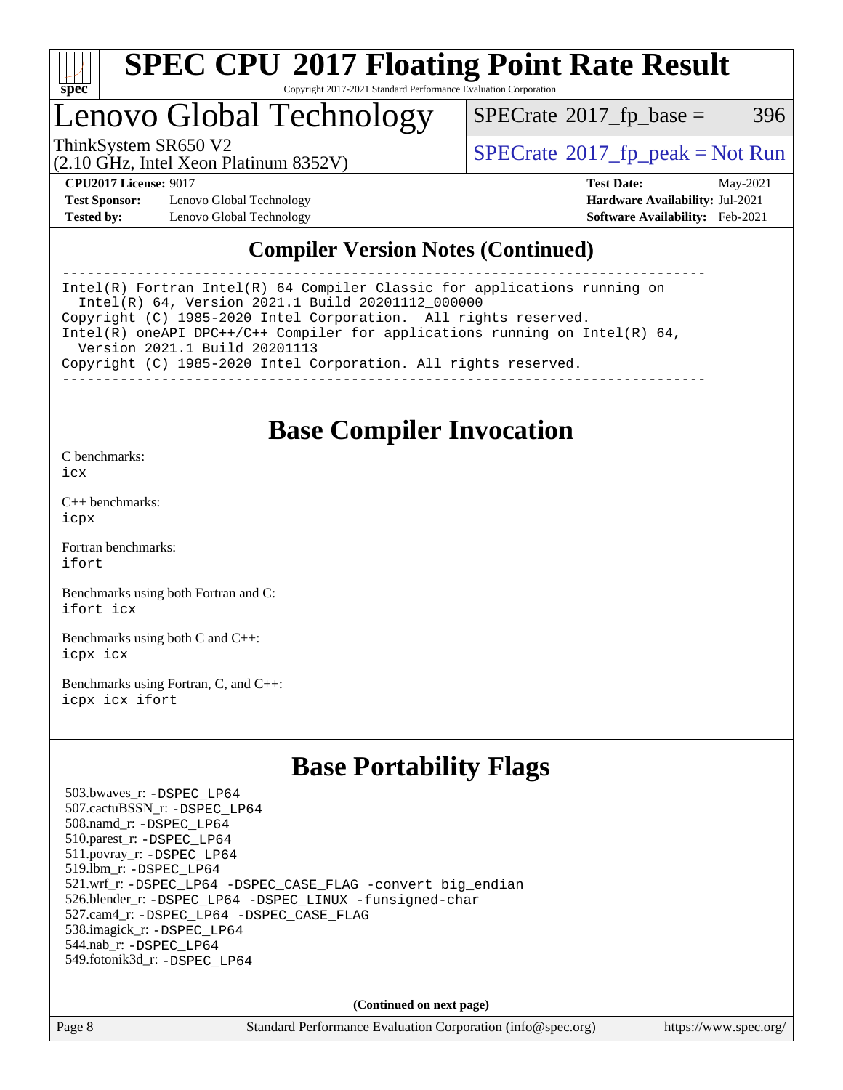

### Lenovo Global Technology

 $SPECTate@2017_fp\_base = 396$ 

(2.10 GHz, Intel Xeon Platinum 8352V)

ThinkSystem SR650 V2<br>  $\begin{array}{c} \text{SPECrate} \textcirc 2017 \text{ fp\_peak} = \text{Not Run} \end{array}$  $\begin{array}{c} \text{SPECrate} \textcirc 2017 \text{ fp\_peak} = \text{Not Run} \end{array}$  $\begin{array}{c} \text{SPECrate} \textcirc 2017 \text{ fp\_peak} = \text{Not Run} \end{array}$ 

**[Test Sponsor:](http://www.spec.org/auto/cpu2017/Docs/result-fields.html#TestSponsor)** Lenovo Global Technology **[Hardware Availability:](http://www.spec.org/auto/cpu2017/Docs/result-fields.html#HardwareAvailability)** Jul-2021 **[Tested by:](http://www.spec.org/auto/cpu2017/Docs/result-fields.html#Testedby)** Lenovo Global Technology **[Software Availability:](http://www.spec.org/auto/cpu2017/Docs/result-fields.html#SoftwareAvailability)** Feb-2021

**[CPU2017 License:](http://www.spec.org/auto/cpu2017/Docs/result-fields.html#CPU2017License)** 9017 **[Test Date:](http://www.spec.org/auto/cpu2017/Docs/result-fields.html#TestDate)** May-2021

### **[Compiler Version Notes \(Continued\)](http://www.spec.org/auto/cpu2017/Docs/result-fields.html#CompilerVersionNotes)**

------------------------------------------------------------------------------ Intel(R) Fortran Intel(R) 64 Compiler Classic for applications running on Intel(R) 64, Version 2021.1 Build 20201112\_000000 Copyright (C) 1985-2020 Intel Corporation. All rights reserved. Intel(R) oneAPI DPC++/C++ Compiler for applications running on Intel(R) 64, Version 2021.1 Build 20201113 Copyright (C) 1985-2020 Intel Corporation. All rights reserved. ------------------------------------------------------------------------------

### **[Base Compiler Invocation](http://www.spec.org/auto/cpu2017/Docs/result-fields.html#BaseCompilerInvocation)**

[C benchmarks](http://www.spec.org/auto/cpu2017/Docs/result-fields.html#Cbenchmarks): [icx](http://www.spec.org/cpu2017/results/res2021q2/cpu2017-20210525-26791.flags.html#user_CCbase_intel_icx_fe2d28d19ae2a5db7c42fe0f2a2aed77cb715edd4aeb23434404a8be6683fe239869bb6ca8154ca98265c2e3b9226a719a0efe2953a4a7018c379b7010ccf087)

[C++ benchmarks:](http://www.spec.org/auto/cpu2017/Docs/result-fields.html#CXXbenchmarks) [icpx](http://www.spec.org/cpu2017/results/res2021q2/cpu2017-20210525-26791.flags.html#user_CXXbase_intel_icpx_1e918ed14c436bf4b9b7c8bcdd51d4539fc71b3df010bd1e9f8732d9c34c2b2914e48204a846820f3c0ebb4095dea797a5c30b458ac0b6dffac65d78f781f5ca)

[Fortran benchmarks](http://www.spec.org/auto/cpu2017/Docs/result-fields.html#Fortranbenchmarks): [ifort](http://www.spec.org/cpu2017/results/res2021q2/cpu2017-20210525-26791.flags.html#user_FCbase_intel_ifort_8111460550e3ca792625aed983ce982f94888b8b503583aa7ba2b8303487b4d8a21a13e7191a45c5fd58ff318f48f9492884d4413fa793fd88dd292cad7027ca)

[Benchmarks using both Fortran and C](http://www.spec.org/auto/cpu2017/Docs/result-fields.html#BenchmarksusingbothFortranandC): [ifort](http://www.spec.org/cpu2017/results/res2021q2/cpu2017-20210525-26791.flags.html#user_CC_FCbase_intel_ifort_8111460550e3ca792625aed983ce982f94888b8b503583aa7ba2b8303487b4d8a21a13e7191a45c5fd58ff318f48f9492884d4413fa793fd88dd292cad7027ca) [icx](http://www.spec.org/cpu2017/results/res2021q2/cpu2017-20210525-26791.flags.html#user_CC_FCbase_intel_icx_fe2d28d19ae2a5db7c42fe0f2a2aed77cb715edd4aeb23434404a8be6683fe239869bb6ca8154ca98265c2e3b9226a719a0efe2953a4a7018c379b7010ccf087)

[Benchmarks using both C and C++](http://www.spec.org/auto/cpu2017/Docs/result-fields.html#BenchmarksusingbothCandCXX): [icpx](http://www.spec.org/cpu2017/results/res2021q2/cpu2017-20210525-26791.flags.html#user_CC_CXXbase_intel_icpx_1e918ed14c436bf4b9b7c8bcdd51d4539fc71b3df010bd1e9f8732d9c34c2b2914e48204a846820f3c0ebb4095dea797a5c30b458ac0b6dffac65d78f781f5ca) [icx](http://www.spec.org/cpu2017/results/res2021q2/cpu2017-20210525-26791.flags.html#user_CC_CXXbase_intel_icx_fe2d28d19ae2a5db7c42fe0f2a2aed77cb715edd4aeb23434404a8be6683fe239869bb6ca8154ca98265c2e3b9226a719a0efe2953a4a7018c379b7010ccf087)

[Benchmarks using Fortran, C, and C++:](http://www.spec.org/auto/cpu2017/Docs/result-fields.html#BenchmarksusingFortranCandCXX) [icpx](http://www.spec.org/cpu2017/results/res2021q2/cpu2017-20210525-26791.flags.html#user_CC_CXX_FCbase_intel_icpx_1e918ed14c436bf4b9b7c8bcdd51d4539fc71b3df010bd1e9f8732d9c34c2b2914e48204a846820f3c0ebb4095dea797a5c30b458ac0b6dffac65d78f781f5ca) [icx](http://www.spec.org/cpu2017/results/res2021q2/cpu2017-20210525-26791.flags.html#user_CC_CXX_FCbase_intel_icx_fe2d28d19ae2a5db7c42fe0f2a2aed77cb715edd4aeb23434404a8be6683fe239869bb6ca8154ca98265c2e3b9226a719a0efe2953a4a7018c379b7010ccf087) [ifort](http://www.spec.org/cpu2017/results/res2021q2/cpu2017-20210525-26791.flags.html#user_CC_CXX_FCbase_intel_ifort_8111460550e3ca792625aed983ce982f94888b8b503583aa7ba2b8303487b4d8a21a13e7191a45c5fd58ff318f48f9492884d4413fa793fd88dd292cad7027ca)

### **[Base Portability Flags](http://www.spec.org/auto/cpu2017/Docs/result-fields.html#BasePortabilityFlags)**

 503.bwaves\_r: [-DSPEC\\_LP64](http://www.spec.org/cpu2017/results/res2021q2/cpu2017-20210525-26791.flags.html#suite_basePORTABILITY503_bwaves_r_DSPEC_LP64) 507.cactuBSSN\_r: [-DSPEC\\_LP64](http://www.spec.org/cpu2017/results/res2021q2/cpu2017-20210525-26791.flags.html#suite_basePORTABILITY507_cactuBSSN_r_DSPEC_LP64) 508.namd\_r: [-DSPEC\\_LP64](http://www.spec.org/cpu2017/results/res2021q2/cpu2017-20210525-26791.flags.html#suite_basePORTABILITY508_namd_r_DSPEC_LP64) 510.parest\_r: [-DSPEC\\_LP64](http://www.spec.org/cpu2017/results/res2021q2/cpu2017-20210525-26791.flags.html#suite_basePORTABILITY510_parest_r_DSPEC_LP64) 511.povray\_r: [-DSPEC\\_LP64](http://www.spec.org/cpu2017/results/res2021q2/cpu2017-20210525-26791.flags.html#suite_basePORTABILITY511_povray_r_DSPEC_LP64) 519.lbm\_r: [-DSPEC\\_LP64](http://www.spec.org/cpu2017/results/res2021q2/cpu2017-20210525-26791.flags.html#suite_basePORTABILITY519_lbm_r_DSPEC_LP64) 521.wrf\_r: [-DSPEC\\_LP64](http://www.spec.org/cpu2017/results/res2021q2/cpu2017-20210525-26791.flags.html#suite_basePORTABILITY521_wrf_r_DSPEC_LP64) [-DSPEC\\_CASE\\_FLAG](http://www.spec.org/cpu2017/results/res2021q2/cpu2017-20210525-26791.flags.html#b521.wrf_r_baseCPORTABILITY_DSPEC_CASE_FLAG) [-convert big\\_endian](http://www.spec.org/cpu2017/results/res2021q2/cpu2017-20210525-26791.flags.html#user_baseFPORTABILITY521_wrf_r_convert_big_endian_c3194028bc08c63ac5d04de18c48ce6d347e4e562e8892b8bdbdc0214820426deb8554edfa529a3fb25a586e65a3d812c835984020483e7e73212c4d31a38223) 526.blender\_r: [-DSPEC\\_LP64](http://www.spec.org/cpu2017/results/res2021q2/cpu2017-20210525-26791.flags.html#suite_basePORTABILITY526_blender_r_DSPEC_LP64) [-DSPEC\\_LINUX](http://www.spec.org/cpu2017/results/res2021q2/cpu2017-20210525-26791.flags.html#b526.blender_r_baseCPORTABILITY_DSPEC_LINUX) [-funsigned-char](http://www.spec.org/cpu2017/results/res2021q2/cpu2017-20210525-26791.flags.html#user_baseCPORTABILITY526_blender_r_force_uchar_40c60f00ab013830e2dd6774aeded3ff59883ba5a1fc5fc14077f794d777847726e2a5858cbc7672e36e1b067e7e5c1d9a74f7176df07886a243d7cc18edfe67) 527.cam4\_r: [-DSPEC\\_LP64](http://www.spec.org/cpu2017/results/res2021q2/cpu2017-20210525-26791.flags.html#suite_basePORTABILITY527_cam4_r_DSPEC_LP64) [-DSPEC\\_CASE\\_FLAG](http://www.spec.org/cpu2017/results/res2021q2/cpu2017-20210525-26791.flags.html#b527.cam4_r_baseCPORTABILITY_DSPEC_CASE_FLAG) 538.imagick\_r: [-DSPEC\\_LP64](http://www.spec.org/cpu2017/results/res2021q2/cpu2017-20210525-26791.flags.html#suite_basePORTABILITY538_imagick_r_DSPEC_LP64) 544.nab\_r: [-DSPEC\\_LP64](http://www.spec.org/cpu2017/results/res2021q2/cpu2017-20210525-26791.flags.html#suite_basePORTABILITY544_nab_r_DSPEC_LP64) 549.fotonik3d\_r: [-DSPEC\\_LP64](http://www.spec.org/cpu2017/results/res2021q2/cpu2017-20210525-26791.flags.html#suite_basePORTABILITY549_fotonik3d_r_DSPEC_LP64)

**(Continued on next page)**

Page 8 Standard Performance Evaluation Corporation [\(info@spec.org\)](mailto:info@spec.org) <https://www.spec.org/>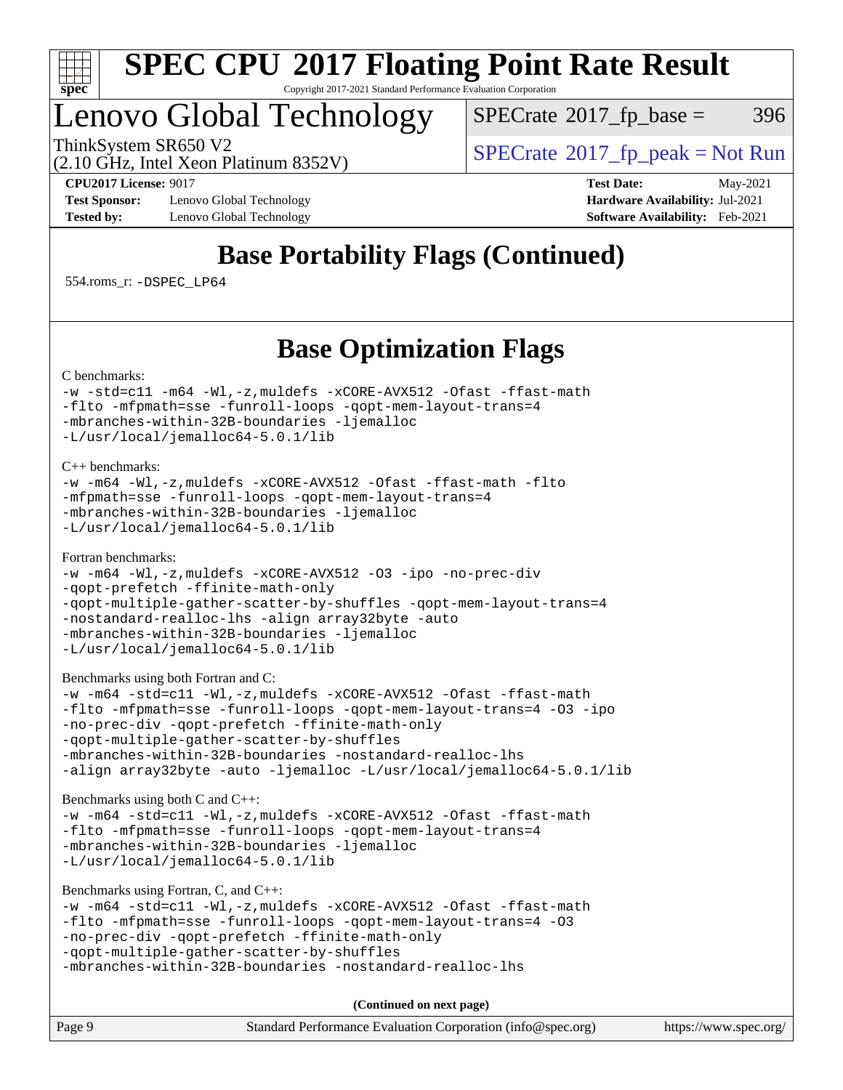

### Lenovo Global Technology

 $SPECTate@2017_fp\_base = 396$ 

ThinkSystem SR650 V2<br>  $\begin{array}{c} \text{SPECrate} \textcirc 2017 \text{ fp\_peak} = \text{Not Run} \end{array}$  $\begin{array}{c} \text{SPECrate} \textcirc 2017 \text{ fp\_peak} = \text{Not Run} \end{array}$  $\begin{array}{c} \text{SPECrate} \textcirc 2017 \text{ fp\_peak} = \text{Not Run} \end{array}$ 

(2.10 GHz, Intel Xeon Platinum 8352V)

**[CPU2017 License:](http://www.spec.org/auto/cpu2017/Docs/result-fields.html#CPU2017License)** 9017 **[Test Date:](http://www.spec.org/auto/cpu2017/Docs/result-fields.html#TestDate)** May-2021 **[Test Sponsor:](http://www.spec.org/auto/cpu2017/Docs/result-fields.html#TestSponsor)** Lenovo Global Technology **[Hardware Availability:](http://www.spec.org/auto/cpu2017/Docs/result-fields.html#HardwareAvailability)** Jul-2021 **[Tested by:](http://www.spec.org/auto/cpu2017/Docs/result-fields.html#Testedby)** Lenovo Global Technology **[Software Availability:](http://www.spec.org/auto/cpu2017/Docs/result-fields.html#SoftwareAvailability)** Feb-2021

### **[Base Portability Flags \(Continued\)](http://www.spec.org/auto/cpu2017/Docs/result-fields.html#BasePortabilityFlags)**

554.roms\_r: [-DSPEC\\_LP64](http://www.spec.org/cpu2017/results/res2021q2/cpu2017-20210525-26791.flags.html#suite_basePORTABILITY554_roms_r_DSPEC_LP64)

### **[Base Optimization Flags](http://www.spec.org/auto/cpu2017/Docs/result-fields.html#BaseOptimizationFlags)**

[C benchmarks](http://www.spec.org/auto/cpu2017/Docs/result-fields.html#Cbenchmarks):

```
-w-std=c11-m64-Wl,-z,muldefs-xCORE-AVX512-Ofast-ffast-math
-flto -mfpmath=sse -funroll-loops -qopt-mem-layout-trans=4
-mbranches-within-32B-boundaries -ljemalloc
-L/usr/local/jemalloc64-5.0.1/lib
```
[C++ benchmarks:](http://www.spec.org/auto/cpu2017/Docs/result-fields.html#CXXbenchmarks)

```
-w -m64 -Wl,-z,muldefs -xCORE-AVX512 -Ofast -ffast-math -flto
-mfpmath=sse -funroll-loops -qopt-mem-layout-trans=4
-mbranches-within-32B-boundaries -ljemalloc
-L/usr/local/jemalloc64-5.0.1/lib
```
[Fortran benchmarks](http://www.spec.org/auto/cpu2017/Docs/result-fields.html#Fortranbenchmarks):

```
-w -m64 -Wl,-z,muldefs -xCORE-AVX512 -O3 -ipo -no-prec-div
-qopt-prefetch -ffinite-math-only
-qopt-multiple-gather-scatter-by-shuffles -qopt-mem-layout-trans=4
-nostandard-realloc-lhs -align array32byte -auto
-mbranches-within-32B-boundaries -ljemalloc
-L/usr/local/jemalloc64-5.0.1/lib
```
[Benchmarks using both Fortran and C](http://www.spec.org/auto/cpu2017/Docs/result-fields.html#BenchmarksusingbothFortranandC):

```
-w -m64 -std=c11 -Wl,-z,muldefs -xCORE-AVX512 -Ofast -ffast-math
-flto -mfpmath=sse -funroll-loops -qopt-mem-layout-trans=4 -O3 -ipo
-no-prec-div -qopt-prefetch -ffinite-math-only
-qopt-multiple-gather-scatter-by-shuffles
-mbranches-within-32B-boundaries -nostandard-realloc-lhs
-align array32byte -auto -ljemalloc -L/usr/local/jemalloc64-5.0.1/lib
```
[Benchmarks using both C and C++](http://www.spec.org/auto/cpu2017/Docs/result-fields.html#BenchmarksusingbothCandCXX):

```
-w -m64 -std=c11 -Wl,-z,muldefs -xCORE-AVX512 -Ofast -ffast-math
-flto -mfpmath=sse -funroll-loops -qopt-mem-layout-trans=4
-mbranches-within-32B-boundaries -ljemalloc
-L/usr/local/jemalloc64-5.0.1/lib
```
[Benchmarks using Fortran, C, and C++:](http://www.spec.org/auto/cpu2017/Docs/result-fields.html#BenchmarksusingFortranCandCXX)

```
-w -m64 -std=c11 -Wl,-z,muldefs -xCORE-AVX512 -Ofast -ffast-math
-flto -mfpmath=sse -funroll-loops -qopt-mem-layout-trans=4 -O3
-no-prec-div -qopt-prefetch -ffinite-math-only
-qopt-multiple-gather-scatter-by-shuffles
-mbranches-within-32B-boundaries -nostandard-realloc-lhs
```
**(Continued on next page)**